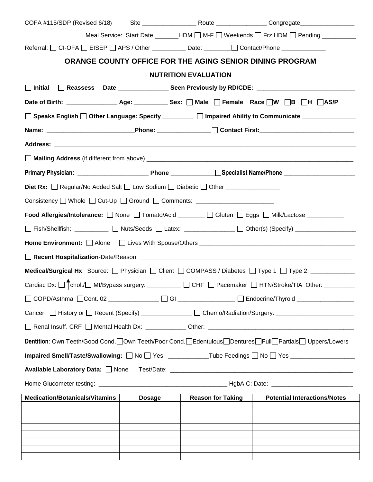|                                                                                                    |               |                                                          | Meal Service: Start Date _______HDM □ M-F □ Weekends □ Frz HDM □ Pending ________                                       |
|----------------------------------------------------------------------------------------------------|---------------|----------------------------------------------------------|-------------------------------------------------------------------------------------------------------------------------|
| Referral: OCI-OFA DEISEP DAPS / Other ____________ Date: ________ Ocntact/Phone _____________      |               |                                                          |                                                                                                                         |
|                                                                                                    |               | ORANGE COUNTY OFFICE FOR THE AGING SENIOR DINING PROGRAM |                                                                                                                         |
|                                                                                                    |               | <b>NUTRITION EVALUATION</b>                              |                                                                                                                         |
| $\Box$ Initial                                                                                     |               |                                                          |                                                                                                                         |
|                                                                                                    |               |                                                          |                                                                                                                         |
|                                                                                                    |               |                                                          | □ Speaks English □ Other Language: Specify ________ □ Impaired Ability to Communicate _____________                     |
|                                                                                                    |               |                                                          | Name: __________________________________Phone: __________________________________                                       |
|                                                                                                    |               |                                                          |                                                                                                                         |
|                                                                                                    |               |                                                          |                                                                                                                         |
|                                                                                                    |               |                                                          |                                                                                                                         |
| <b>Diet Rx:</b> □ Regular/No Added Salt □ Low Sodium □ Diabetic □ Other _____________              |               |                                                          |                                                                                                                         |
| Consistency □ Whole □ Cut-Up □ Ground □ Comments: ______________________________                   |               |                                                          |                                                                                                                         |
| Food Allergies/Intolerance: □ None □ Tomato/Acid _______ □ Gluten □ Eggs □ Milk/Lactose __________ |               |                                                          |                                                                                                                         |
|                                                                                                    |               |                                                          | □ Fish/Shellfish: __________ □ Nuts/Seeds □ Latex: ____________ □ Other(s) (Specify) _____________                      |
|                                                                                                    |               |                                                          |                                                                                                                         |
|                                                                                                    |               |                                                          |                                                                                                                         |
|                                                                                                    |               |                                                          | Medical/Surgical Hx: Source: Physician   Client   COMPASS / Diabetes   Type 1   Type 2: ___________                     |
|                                                                                                    |               |                                                          | Cardiac Dx: □ Chol./□ MI/Bypass surgery: ________ □ CHF □ Pacemaker □ HTN/Stroke/TIA Other: _______                     |
| □ COPD/Asthma □Cont. 02 ____________ □ GI ____________ □ Endocrine/Thyroid ____________            |               |                                                          |                                                                                                                         |
|                                                                                                    |               |                                                          | Cancer: $\Box$ History or $\Box$ Recent (Specify) _____________ $\Box$ Chemo/Radiation/Surgery: _______________________ |
|                                                                                                    |               |                                                          |                                                                                                                         |
|                                                                                                    |               |                                                          | Dentition: Own Teeth/Good Cond. Own Teeth/Poor Cond. Edentulous Dentures Full Partials Uppers/Lowers                    |
|                                                                                                    |               |                                                          | Impaired Smell/Taste/Swallowing: □ No □ Yes: ___________Tube Feedings □ No □ Yes _________________                      |
| Available Laboratory Data: None                                                                    |               |                                                          |                                                                                                                         |
|                                                                                                    |               |                                                          |                                                                                                                         |
| <b>Medication/Botanicals/Vitamins</b>                                                              | <b>Dosage</b> | <b>Reason for Taking</b>                                 | <b>Potential Interactions/Notes</b>                                                                                     |
|                                                                                                    |               |                                                          |                                                                                                                         |
|                                                                                                    |               |                                                          |                                                                                                                         |
|                                                                                                    |               |                                                          |                                                                                                                         |
|                                                                                                    |               |                                                          |                                                                                                                         |
|                                                                                                    |               |                                                          |                                                                                                                         |